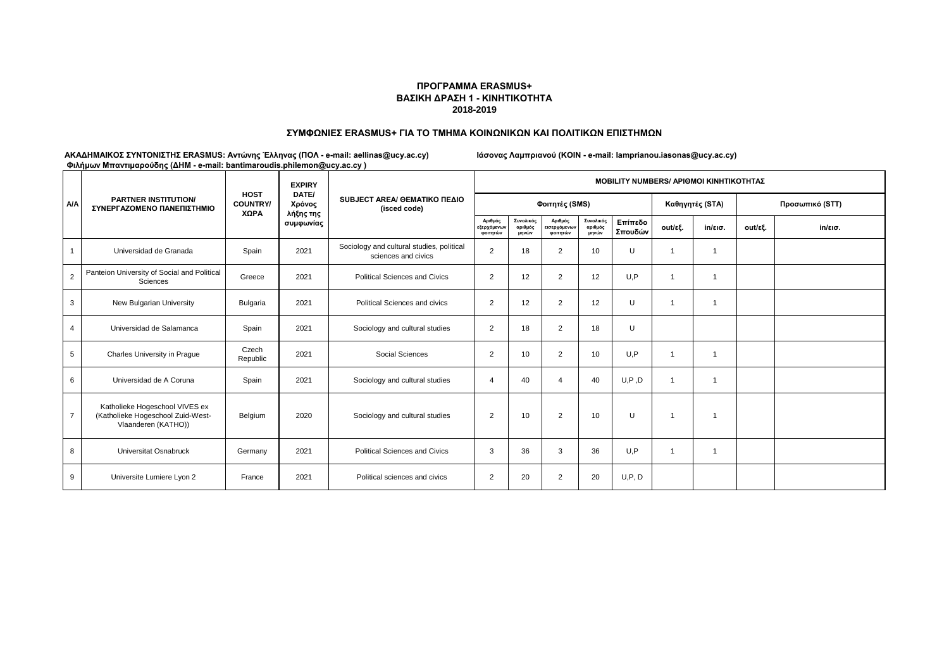### **ΠΡΟΓΡΑΜΜΑ ERASMUS+ ΒΑΣΙΚΗ ΔΡΑΣΗ 1 - ΚΙΝΗΤΙΚΟΤΗΤΑ 2018-2019**

#### **ΣΥΜΦΩΝΙΕΣ ERASMUS+ ΓΙΑ ΤΟ ΤΜΗΜΑ ΚΟΙΝΩΝΙΚΩΝ ΚΑΙ ΠΟΛΙΤΙΚΩΝ ΕΠΙΣΤΗΜΩΝ**

|                | <b>PARTNER INSTITUTION/</b><br>ΣΥΝΕΡΓΑΖΟΜΕΝΟ ΠΑΝΕΠΙΣΤΗΜΙΟ                                  |                                        | <b>EXPIRY</b><br>DATE/<br>Χρόνος<br>λήξης της<br>συμφωνίας | SUBJECT AREA/ OEMATIKO ΠΕΔΙΟ<br>(isced code)                     | <b>MOBILITY NUMBERS/ APIOMOI KINHTIKOTHTAZ</b> |                               |                                     |                               |                    |                 |                          |                 |                   |  |
|----------------|--------------------------------------------------------------------------------------------|----------------------------------------|------------------------------------------------------------|------------------------------------------------------------------|------------------------------------------------|-------------------------------|-------------------------------------|-------------------------------|--------------------|-----------------|--------------------------|-----------------|-------------------|--|
| <b>A/A</b>     |                                                                                            | <b>HOST</b><br><b>COUNTRY/</b><br>XΩPA |                                                            |                                                                  |                                                |                               | Φοιτητές (SMS)                      |                               |                    | Καθηγητές (STA) |                          | Προσωπικό (STT) |                   |  |
|                |                                                                                            |                                        |                                                            |                                                                  | Αριθμός<br>εξερχόμενων<br>φοιτητών             | Συνολικός<br>αριθμός<br>μηνών | Αριθμός<br>εισερχόμενων<br>φοιτητών | Συνολικός<br>αριθμός<br>μηνών | Επίπεδο<br>Σπουδών | out/εξ.         | $in/\epsilon$ ισ.        | out/εξ.         | $in/\epsilon$ ισ. |  |
|                | Universidad de Granada                                                                     | Spain                                  | 2021                                                       | Sociology and cultural studies, political<br>sciences and civics | $\overline{2}$                                 | 18                            | $\overline{2}$                      | 10                            | U                  |                 | 1                        |                 |                   |  |
| $\overline{2}$ | Panteion University of Social and Political<br>Sciences                                    | Greece                                 | 2021                                                       | <b>Political Sciences and Civics</b>                             | $\overline{2}$                                 | 12                            | 2                                   | 12                            | U.P                |                 | $\overline{\mathbf{1}}$  |                 |                   |  |
| 3              | New Bulgarian University                                                                   | Bulgaria                               | 2021                                                       | Political Sciences and civics                                    | $\overline{2}$                                 | 12                            | 2                                   | 12                            | U                  |                 | $\overline{\mathbf{1}}$  |                 |                   |  |
| 4              | Universidad de Salamanca                                                                   | Spain                                  | 2021                                                       | Sociology and cultural studies                                   | $\overline{2}$                                 | 18                            | 2                                   | 18                            | U                  |                 |                          |                 |                   |  |
| 5              | Charles University in Praque                                                               | Czech<br>Republic                      | 2021                                                       | Social Sciences                                                  | $\overline{2}$                                 | 10                            | 2                                   | 10                            | U.P                |                 | $\overline{\mathbf{1}}$  |                 |                   |  |
| 6              | Universidad de A Coruna                                                                    | Spain                                  | 2021                                                       | Sociology and cultural studies                                   | 4                                              | 40                            | Δ                                   | 40                            | U, P, D            |                 | $\overline{\phantom{a}}$ |                 |                   |  |
| $\overline{7}$ | Katholieke Hogeschool VIVES ex<br>(Katholieke Hogeschool Zuid-West-<br>Vlaanderen (KATHO)) | Belgium                                | 2020                                                       | Sociology and cultural studies                                   | $\overline{2}$                                 | 10                            | $\overline{2}$                      | 10                            | U                  | $\overline{1}$  | $\overline{1}$           |                 |                   |  |
| 8              | Universitat Osnabruck                                                                      | Germany                                | 2021                                                       | <b>Political Sciences and Civics</b>                             | 3                                              | 36                            | 3                                   | 36                            | U,P                | 1               | $\overline{1}$           |                 |                   |  |
| 9              | Universite Lumiere Lyon 2                                                                  | France                                 | 2021                                                       | Political sciences and civics                                    | $\overline{2}$                                 | 20                            | 2                                   | 20                            | U, P, D            |                 |                          |                 |                   |  |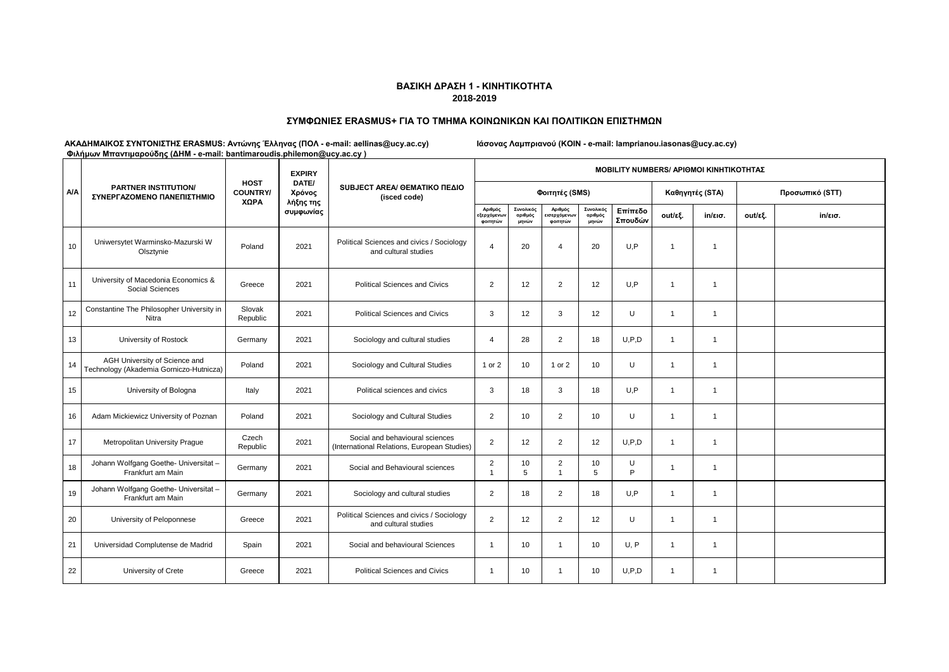### **ΣΥΜΦΩΝΙΕΣ ERASMUS+ ΓΙΑ ΤΟ ΤΜΗΜΑ ΚΟΙΝΩΝΙΚΩΝ ΚΑΙ ΠΟΛΙΤΙΚΩΝ ΕΠΙΣΤΗΜΩΝ**

|            | <b>PARTNER INSTITUTION/</b><br>ΣΥΝΕΡΓΑΖΟΜΕΝΟ ΠΑΝΕΠΙΣΤΗΜΙΟ                | $\tau$ and post in the strip opposity (see that is a finally partitional completencies as fracted if | <b>EXPIRY</b>                | SUBJECT AREA/ OEMATIKO ΠΕΔΙΟ<br>(isced code)                                   | <b>ΜΟΒΙLITY NUMBERS/ ΑΡΙΘΜΟΙ ΚΙΝΗΤΙΚΟΤΗΤΑΣ</b> |                               |                                    |                               |                    |                |                   |                 |                   |  |  |
|------------|--------------------------------------------------------------------------|------------------------------------------------------------------------------------------------------|------------------------------|--------------------------------------------------------------------------------|------------------------------------------------|-------------------------------|------------------------------------|-------------------------------|--------------------|----------------|-------------------|-----------------|-------------------|--|--|
| <b>A/A</b> |                                                                          | <b>HOST</b><br><b>COUNTRY/</b><br>ΧΩΡΑ                                                               | DATE/<br>Χρόνος<br>λήξης της |                                                                                |                                                |                               | Φοιτητές (SMS)                     |                               |                    |                | Καθηγητές (STA)   | Προσωπικό (STT) |                   |  |  |
|            |                                                                          |                                                                                                      | συμφωνίας                    |                                                                                | Αριθμός<br><b>ξερχόμενων</b><br>φοιτητών       | Συνολικός<br>αριθμός<br>μηνών | Αριθμός<br>ισερχόμενων<br>φοιτητών | Συνολικός<br>αριθμός<br>μηνών | Επίπεδο<br>Σπουδών | out/εξ.        | $in/\epsilon$ ισ. | out/εξ.         | $in/\epsilon$ ισ. |  |  |
| 10         | Uniwersytet Warminsko-Mazurski W<br>Olsztynie                            | Poland                                                                                               | 2021                         | Political Sciences and civics / Sociology<br>and cultural studies              | $\overline{4}$                                 | 20                            | Δ                                  | 20                            | U.P                | $\overline{1}$ | $\mathbf{1}$      |                 |                   |  |  |
| 11         | University of Macedonia Economics &<br>Social Sciences                   | Greece                                                                                               | 2021                         | <b>Political Sciences and Civics</b>                                           | $\overline{2}$                                 | 12                            | $\overline{2}$                     | 12                            | U,P                | $\overline{1}$ | $\mathbf{1}$      |                 |                   |  |  |
| 12         | Constantine The Philosopher University in<br>Nitra                       | Slovak<br>Republic                                                                                   | 2021                         | <b>Political Sciences and Civics</b>                                           | 3                                              | 12                            | 3                                  | 12                            | U                  | $\mathbf{1}$   | $\mathbf{1}$      |                 |                   |  |  |
| 13         | University of Rostock                                                    | Germany                                                                                              | 2021                         | Sociology and cultural studies                                                 | 4                                              | 28                            | 2                                  | 18                            | U, P, D            | $\overline{1}$ | $\mathbf{1}$      |                 |                   |  |  |
| 14         | AGH University of Science and<br>Technology (Akademia Gorniczo-Hutnicza) | Poland                                                                                               | 2021                         | Sociology and Cultural Studies                                                 | 1 or 2                                         | 10                            | 1 or 2                             | 10                            | U                  | $\overline{1}$ | $\mathbf{1}$      |                 |                   |  |  |
| 15         | University of Bologna                                                    | Italy                                                                                                | 2021                         | Political sciences and civics                                                  | 3                                              | 18                            | 3                                  | 18                            | U.P                | $\overline{1}$ | $\overline{1}$    |                 |                   |  |  |
| 16         | Adam Mickiewicz University of Poznan                                     | Poland                                                                                               | 2021                         | Sociology and Cultural Studies                                                 | $\overline{2}$                                 | 10                            | 2                                  | 10                            | U                  | $\mathbf{1}$   | $\mathbf{1}$      |                 |                   |  |  |
| 17         | Metropolitan University Praque                                           | Czech<br>Republic                                                                                    | 2021                         | Social and behavioural sciences<br>(International Relations, European Studies) | $\overline{2}$                                 | 12                            | 2                                  | 12                            | U, P, D            | $\overline{1}$ | $\mathbf{1}$      |                 |                   |  |  |
| 18         | Johann Wolfgang Goethe- Universitat -<br>Frankfurt am Main               | Germany                                                                                              | 2021                         | Social and Behavioural sciences                                                | $\overline{2}$<br>$\mathbf{1}$                 | 10<br>5                       | $\overline{2}$<br>$\mathbf{1}$     | 10<br>5                       | U<br>P             | $\mathbf 1$    | $\mathbf{1}$      |                 |                   |  |  |
| 19         | Johann Wolfgang Goethe- Universitat -<br>Frankfurt am Main               | Germany                                                                                              | 2021                         | Sociology and cultural studies                                                 | $\overline{2}$                                 | 18                            | 2                                  | 18                            | U,P                | $\overline{1}$ | $\overline{1}$    |                 |                   |  |  |
| 20         | University of Peloponnese                                                | Greece                                                                                               | 2021                         | Political Sciences and civics / Sociology<br>and cultural studies              | $\overline{2}$                                 | 12                            | 2                                  | 12                            | U                  | $\mathbf{1}$   | $\mathbf{1}$      |                 |                   |  |  |
| 21         | Universidad Complutense de Madrid                                        | Spain                                                                                                | 2021                         | Social and behavioural Sciences                                                | $\mathbf{1}$                                   | 10                            | $\overline{1}$                     | 10                            | U, P               | $\overline{1}$ | $\overline{1}$    |                 |                   |  |  |
| 22         | University of Crete                                                      | Greece                                                                                               | 2021                         | <b>Political Sciences and Civics</b>                                           | $\mathbf 1$                                    | 10                            | -1                                 | 10                            | U, P, D            | -1             | $\mathbf{1}$      |                 |                   |  |  |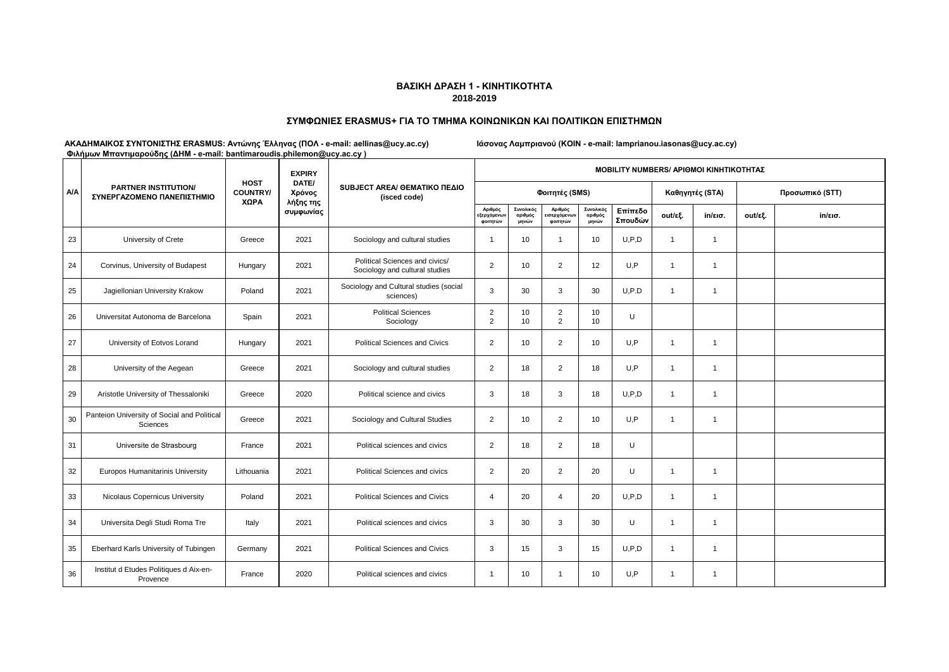### **ΣΥΜΦΩΝΙΕΣ ERASMUS+ ΓΙΑ ΤΟ ΤΜΗΜΑ ΚΟΙΝΩΝΙΚΩΝ ΚΑΙ ΠΟΛΙΤΙΚΩΝ ΕΠΙΣΤΗΜΩΝ**

|            | The property in the coupled the community of the content of the complete content of the coupled of the coupled of the coupled of the coupled of the coupled of the coupled of the coupled of the coupled of the coupled of the<br><b>PARTNER INSTITUTION/</b><br>ΣΥΝΕΡΓΑΖΟΜΕΝΟ ΠΑΝΕΠΙΣΤΗΜΙΟ |                                        | <b>EXPIRY</b>                |                                                                  | <b>ΜΟΒΙLITY NUMBERS/ ΑΡΙΘΜΟΙ ΚΙΝΗΤΙΚΟΤΗΤΑΣ</b> |                               |                                    |                               |                    |                |                   |                 |         |  |  |
|------------|---------------------------------------------------------------------------------------------------------------------------------------------------------------------------------------------------------------------------------------------------------------------------------------------|----------------------------------------|------------------------------|------------------------------------------------------------------|------------------------------------------------|-------------------------------|------------------------------------|-------------------------------|--------------------|----------------|-------------------|-----------------|---------|--|--|
| <b>A/A</b> |                                                                                                                                                                                                                                                                                             | <b>HOST</b><br><b>COUNTRY/</b><br>XΩPA | DATE/<br>Χρόνος<br>λήξης της | SUBJECT AREA/ GEMATIKO ΠΕΔΙΟ<br>(isced code)                     |                                                |                               | Φοιτητές (SMS)                     |                               |                    |                | Καθηγητές (STA)   | Προσωπικό (STT) |         |  |  |
|            |                                                                                                                                                                                                                                                                                             |                                        | συμφωνίας                    |                                                                  | Αριθμός<br>ξερχόμενων<br>φοιτητών              | Συνολικός<br>αριθμός<br>μηνών | Αριθμός<br>ισερχόμενων<br>φοιτητών | Συνολικός<br>αριθμός<br>μηνών | Επίπεδο<br>Σπουδών | out/εξ.        | $in/\epsilon$ ισ. | out/εξ.         | in/εισ. |  |  |
| 23         | University of Crete                                                                                                                                                                                                                                                                         | Greece                                 | 2021                         | Sociology and cultural studies                                   | -1                                             | 10                            | $\overline{1}$                     | 10                            | U, P, D            | $\mathbf{1}$   | $\mathbf{1}$      |                 |         |  |  |
| 24         | Corvinus, University of Budapest                                                                                                                                                                                                                                                            | Hungary                                | 2021                         | Political Sciences and civics/<br>Sociology and cultural studies | $\overline{2}$                                 | 10                            | $\overline{2}$                     | 12                            | U,P                | $\overline{1}$ | $\mathbf{1}$      |                 |         |  |  |
| 25         | Jagiellonian University Krakow                                                                                                                                                                                                                                                              | Poland                                 | 2021                         | Sociology and Cultural studies (social<br>sciences)              | 3                                              | 30                            | 3                                  | 30                            | U, P.D             | $\mathbf{1}$   | $\mathbf{1}$      |                 |         |  |  |
| 26         | Universitat Autonoma de Barcelona                                                                                                                                                                                                                                                           | Spain                                  | 2021                         | <b>Political Sciences</b><br>Sociology                           | $\overline{2}$<br>$\overline{2}$               | 10<br>10                      | $\overline{c}$<br>2                | 10<br>10                      | U                  |                |                   |                 |         |  |  |
| 27         | University of Eotvos Lorand                                                                                                                                                                                                                                                                 | Hungary                                | 2021                         | <b>Political Sciences and Civics</b>                             | $\overline{2}$                                 | 10                            | 2                                  | 10                            | U,P                | $\overline{1}$ | $\mathbf{1}$      |                 |         |  |  |
| 28         | University of the Aegean                                                                                                                                                                                                                                                                    | Greece                                 | 2021                         | Sociology and cultural studies                                   | $\overline{2}$                                 | 18                            | 2                                  | 18                            | U, P               | $\mathbf{1}$   | $\overline{1}$    |                 |         |  |  |
| 29         | Aristotle University of Thessaloniki                                                                                                                                                                                                                                                        | Greece                                 | 2020                         | Political science and civics                                     | 3                                              | 18                            | 3                                  | 18                            | U, P, D            | $\mathbf 1$    | $\mathbf{1}$      |                 |         |  |  |
| 30         | Panteion University of Social and Political<br><b>Sciences</b>                                                                                                                                                                                                                              | Greece                                 | 2021                         | Sociology and Cultural Studies                                   | $\overline{2}$                                 | 10                            | 2                                  | 10                            | U, P               | $\mathbf{1}$   | $\mathbf{1}$      |                 |         |  |  |
| 31         | Universite de Strasbourg                                                                                                                                                                                                                                                                    | France                                 | 2021                         | Political sciences and civics                                    | $\overline{2}$                                 | 18                            | $\overline{2}$                     | 18                            | U                  |                |                   |                 |         |  |  |
| 32         | <b>Europos Humanitarinis University</b>                                                                                                                                                                                                                                                     | Lithouania                             | 2021                         | Political Sciences and civics                                    | $\overline{2}$                                 | 20                            | $\overline{2}$                     | 20                            | U                  | $\mathbf{1}$   | $\mathbf{1}$      |                 |         |  |  |
| 33         | Nicolaus Copernicus University                                                                                                                                                                                                                                                              | Poland                                 | 2021                         | <b>Political Sciences and Civics</b>                             | $\overline{4}$                                 | 20                            | $\overline{4}$                     | 20                            | U, P, D            | $\overline{1}$ | $\mathbf{1}$      |                 |         |  |  |
| 34         | Universita Degli Studi Roma Tre                                                                                                                                                                                                                                                             | Italy                                  | 2021                         | Political sciences and civics                                    | 3                                              | 30                            | 3                                  | 30                            | U                  | $\mathbf{1}$   | $\mathbf{1}$      |                 |         |  |  |
| 35         | Eberhard Karls University of Tubingen                                                                                                                                                                                                                                                       | Germany                                | 2021                         | <b>Political Sciences and Civics</b>                             | 3                                              | 15                            | 3                                  | 15                            | U, P, D            | $\overline{1}$ | $\mathbf{1}$      |                 |         |  |  |
| 36         | Institut d Etudes Politiques d Aix-en-<br>Provence                                                                                                                                                                                                                                          | France                                 | 2020                         | Political sciences and civics                                    | $\mathbf 1$                                    | 10                            | $\overline{1}$                     | 10                            | U,P                | $\overline{1}$ | $\mathbf{1}$      |                 |         |  |  |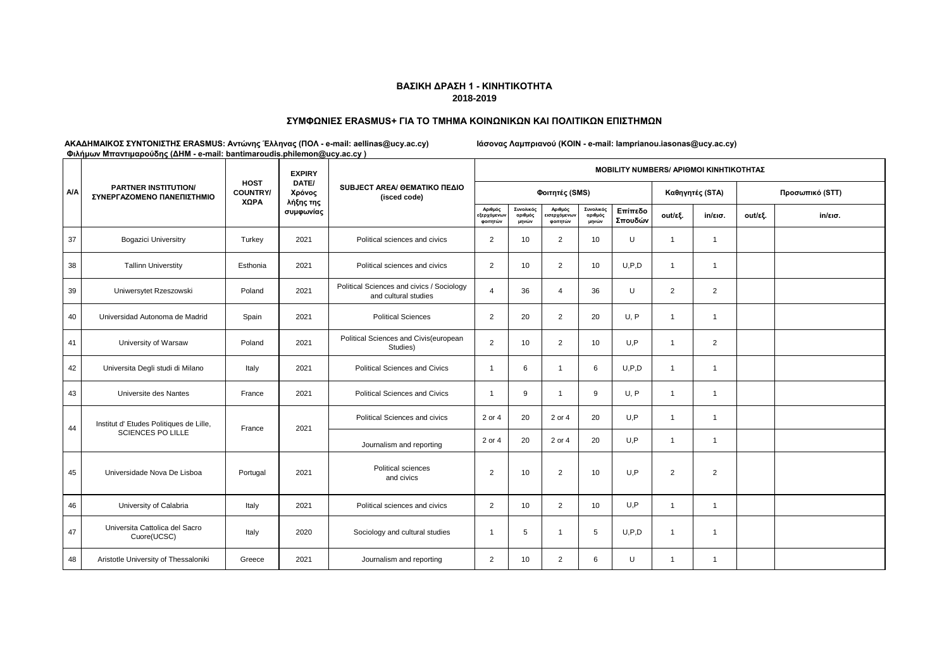### **ΣΥΜΦΩΝΙΕΣ ERASMUS+ ΓΙΑ ΤΟ ΤΜΗΜΑ ΚΟΙΝΩΝΙΚΩΝ ΚΑΙ ΠΟΛΙΤΙΚΩΝ ΕΠΙΣΤΗΜΩΝ**

|            | <b>PARTNER INSTITUTION/</b><br>ΣΥΝΕΡΓΑΖΟΜΕΝΟ ΠΑΝΕΠΙΣΤΗΜΙΟ |                                        | <b>EXPIRY</b>                | SUBJECT AREA/ GEMATIKO ΠΕΔΙΟ<br>(isced code)                      | <b>ΜΟΒΙLITY NUMBERS/ ΑΡΙΘΜΟΙ ΚΙΝΗΤΙΚΟΤΗΤΑΣ</b> |                               |                                     |                               |                    |                |                   |                 |                   |  |  |
|------------|-----------------------------------------------------------|----------------------------------------|------------------------------|-------------------------------------------------------------------|------------------------------------------------|-------------------------------|-------------------------------------|-------------------------------|--------------------|----------------|-------------------|-----------------|-------------------|--|--|
| <b>A/A</b> |                                                           | <b>HOST</b><br><b>COUNTRY/</b><br>ΧΩΡΑ | DATE/<br>Χρόνος<br>λήξης της |                                                                   |                                                |                               | Φοιτητές (SMS)                      |                               |                    |                | Καθηγητές (STA)   | Προσωπικό (STT) |                   |  |  |
|            |                                                           |                                        | συμφωνίας                    |                                                                   | Αριθμός<br>εξερχόμενων<br>φοιτητών             | Συνολικός<br>αριθμός<br>μηνών | Αριθμός<br>εισερχόμενων<br>φοιτητών | Συνολικός<br>αριθμός<br>μηνών | Επίπεδο<br>Σπουδών | out/εξ.        | $in/\epsilon$ ισ. | out/εξ.         | $in/\epsilon$ ισ. |  |  |
| 37         | <b>Bogazici Universitry</b>                               | Turkey                                 | 2021                         | Political sciences and civics                                     | $\overline{2}$                                 | 10                            | 2                                   | 10                            | U                  | 1              | $\mathbf{1}$      |                 |                   |  |  |
| 38         | <b>Tallinn Universtity</b>                                | Esthonia                               | 2021                         | Political sciences and civics                                     | $\overline{2}$                                 | 10                            | $\overline{2}$                      | 10                            | U, P, D            | $\mathbf{1}$   | $\mathbf{1}$      |                 |                   |  |  |
| 39         | Uniwersytet Rzeszowski                                    | Poland                                 | 2021                         | Political Sciences and civics / Sociology<br>and cultural studies | $\overline{4}$                                 | 36                            | $\overline{4}$                      | 36                            | U                  | $\overline{2}$ | 2                 |                 |                   |  |  |
| 40         | Universidad Autonoma de Madrid                            | Spain                                  | 2021                         | <b>Political Sciences</b>                                         | $\overline{2}$                                 | 20                            | $\overline{2}$                      | 20                            | U, P               | 1              | $\mathbf{1}$      |                 |                   |  |  |
| 41         | University of Warsaw                                      | Poland                                 | 2021                         | Political Sciences and Civis(european<br>Studies)                 | $\overline{2}$                                 | 10                            | $\overline{2}$                      | 10                            | U,P                | $\overline{1}$ | $\overline{2}$    |                 |                   |  |  |
| 42         | Universita Degli studi di Milano                          | Italy                                  | 2021                         | <b>Political Sciences and Civics</b>                              | $\mathbf{1}$                                   | 6                             | $\mathbf{1}$                        | 6                             | U, P, D            | $\mathbf{1}$   | $\mathbf{1}$      |                 |                   |  |  |
| 43         | Universite des Nantes                                     | France                                 | 2021                         | <b>Political Sciences and Civics</b>                              | $\mathbf{1}$                                   | 9                             | $\overline{1}$                      | 9                             | U, P               | $\overline{1}$ | $\overline{1}$    |                 |                   |  |  |
| 44         | Institut d' Etudes Politiques de Lille,                   | France                                 | 2021                         | Political Sciences and civics                                     | 2 or 4                                         | 20                            | 2 or 4                              | 20                            | U,P                | $\mathbf{1}$   | $\mathbf{1}$      |                 |                   |  |  |
|            | <b>SCIENCES PO LILLE</b>                                  |                                        |                              | Journalism and reporting                                          | 2 or 4                                         | 20                            | 2 or 4                              | 20                            | U.P                | $\mathbf{1}$   | $\mathbf{1}$      |                 |                   |  |  |
| 45         | Universidade Nova De Lisboa                               | Portugal                               | 2021                         | Political sciences<br>and civics                                  | $\overline{2}$                                 | 10                            | 2                                   | 10                            | U.P                | $\overline{2}$ | 2                 |                 |                   |  |  |
| 46         | University of Calabria                                    | Italy                                  | 2021                         | Political sciences and civics                                     | $\overline{2}$                                 | 10                            | $\overline{2}$                      | 10                            | U,P                | 1              | $\mathbf{1}$      |                 |                   |  |  |
| 47         | Universita Cattolica del Sacro<br>Cuore(UCSC)             | Italy                                  | 2020                         | Sociology and cultural studies                                    | $\mathbf{1}$                                   | 5                             | $\overline{1}$                      | 5                             | U, P, D            | 1              | $\mathbf{1}$      |                 |                   |  |  |
| 48         | Aristotle University of Thessaloniki                      | Greece                                 | 2021                         | Journalism and reporting                                          | $\overline{2}$                                 | 10                            | $\overline{2}$                      | 6                             | U                  | 1              | 1                 |                 |                   |  |  |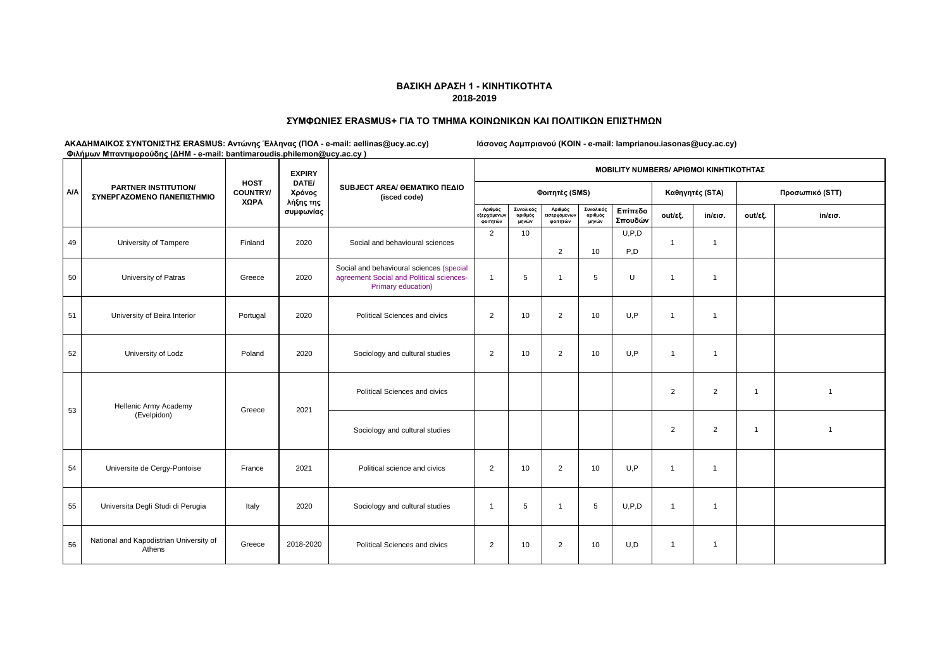### **ΣΥΜΦΩΝΙΕΣ ERASMUS+ ΓΙΑ ΤΟ ΤΜΗΜΑ ΚΟΙΝΩΝΙΚΩΝ ΚΑΙ ΠΟΛΙΤΙΚΩΝ ΕΠΙΣΤΗΜΩΝ**

|            | <b>PARTNER INSTITUTION/</b><br>ΣΥΝΕΡΓΑΖΟΜΕΝΟ ΠΑΝΕΠΙΣΤΗΜΙΟ |                                        | <b>EXPIRY</b>                |                                                                                                            | <b>MOBILITY NUMBERS/ APIOMOI KINHTIKOTHTAZ</b> |                               |                                    |                               |                    |                |                   |                 |                   |  |  |
|------------|-----------------------------------------------------------|----------------------------------------|------------------------------|------------------------------------------------------------------------------------------------------------|------------------------------------------------|-------------------------------|------------------------------------|-------------------------------|--------------------|----------------|-------------------|-----------------|-------------------|--|--|
| <b>A/A</b> |                                                           | <b>HOST</b><br><b>COUNTRY/</b><br>ΧΩΡΑ | DATE/<br>Χρόνος<br>λήξης της | SUBJECT AREA/ GEMATIKO ΠΕΔΙΟ<br>(isced code)                                                               |                                                |                               | Φοιτητές (SMS)                     |                               |                    |                | Καθηγητές (STA)   | Προσωπικό (STT) |                   |  |  |
|            |                                                           |                                        | συμφωνίας                    |                                                                                                            | Αριθμός<br>εξερχόμενων<br>φοιτητών             | Συνολικός<br>αριθμός<br>μηνών | Αριθμός<br>ισερχόμενων<br>φοιτητών | Συνολικός<br>αριθμός<br>μηνών | Επίπεδο<br>Σπουδών | out/εξ.        | $in/\epsilon$ ισ. | out/εξ.         | $in/\epsilon$ ισ. |  |  |
| 49         | University of Tampere                                     | Finland                                | 2020                         | Social and behavioural sciences                                                                            | $\overline{2}$                                 | 10                            | $\overline{2}$                     | 10                            | U, P, D<br>P,D     | $\overline{1}$ | $\mathbf{1}$      |                 |                   |  |  |
| 50         | University of Patras                                      | Greece                                 | 2020                         | Social and behavioural sciences (special<br>agreement Social and Political sciences-<br>Primary education) | $\overline{1}$                                 | 5                             | $\overline{1}$                     | 5                             | U                  | $\overline{1}$ | $\overline{1}$    |                 |                   |  |  |
| 51         | University of Beira Interior                              | Portugal                               | 2020                         | Political Sciences and civics                                                                              | $\overline{2}$                                 | 10                            | 2                                  | 10                            | U, P               | $\overline{1}$ | $\overline{1}$    |                 |                   |  |  |
| 52         | University of Lodz                                        | Poland                                 | 2020                         | Sociology and cultural studies                                                                             | $\overline{2}$                                 | 10                            | $\overline{2}$                     | 10                            | U, P               | 1              | $\overline{1}$    |                 |                   |  |  |
| 53         | Hellenic Army Academy<br>Greece<br>(Evelpidon)            |                                        | 2021                         | Political Sciences and civics                                                                              |                                                |                               |                                    |                               |                    | $\overline{2}$ | 2                 | $\overline{1}$  | $\overline{1}$    |  |  |
|            |                                                           |                                        |                              | Sociology and cultural studies                                                                             |                                                |                               |                                    |                               |                    | $\overline{2}$ | $\overline{2}$    | $\overline{1}$  | $\overline{1}$    |  |  |
| 54         | Universite de Cergy-Pontoise                              | France                                 | 2021                         | Political science and civics                                                                               | $\overline{2}$                                 | 10                            | $\overline{2}$                     | 10                            | U, P               | $\overline{1}$ | $\mathbf{1}$      |                 |                   |  |  |
| 55         | Universita Degli Studi di Perugia                         | Italy                                  | 2020                         | Sociology and cultural studies                                                                             | $\overline{1}$                                 | 5                             | $\overline{1}$                     | 5                             | U, P, D            | $\mathbf{1}$   | $\overline{1}$    |                 |                   |  |  |
| 56         | National and Kapodistrian University of<br>Athens         | Greece                                 | 2018-2020                    | Political Sciences and civics                                                                              | $\overline{2}$                                 | 10                            | $\overline{2}$                     | 10                            | U,D                | $\mathbf{1}$   | $\overline{1}$    |                 |                   |  |  |